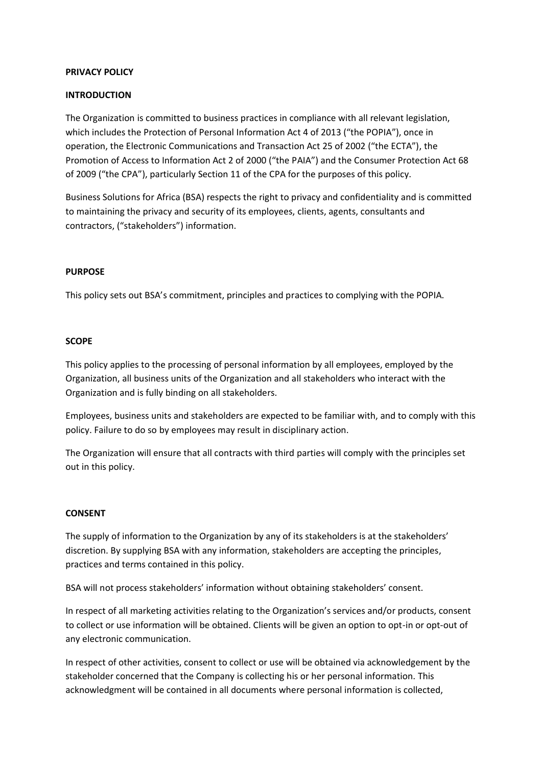### **PRIVACY POLICY**

## **INTRODUCTION**

The Organization is committed to business practices in compliance with all relevant legislation, which includes the Protection of Personal Information Act 4 of 2013 ("the POPIA"), once in operation, the Electronic Communications and Transaction Act 25 of 2002 ("the ECTA"), the Promotion of Access to Information Act 2 of 2000 ("the PAIA") and the Consumer Protection Act 68 of 2009 ("the CPA"), particularly Section 11 of the CPA for the purposes of this policy.

Business Solutions for Africa (BSA) respects the right to privacy and confidentiality and is committed to maintaining the privacy and security of its employees, clients, agents, consultants and contractors, ("stakeholders") information.

### **PURPOSE**

This policy sets out BSA's commitment, principles and practices to complying with the POPIA.

#### **SCOPE**

This policy applies to the processing of personal information by all employees, employed by the Organization, all business units of the Organization and all stakeholders who interact with the Organization and is fully binding on all stakeholders.

Employees, business units and stakeholders are expected to be familiar with, and to comply with this policy. Failure to do so by employees may result in disciplinary action.

The Organization will ensure that all contracts with third parties will comply with the principles set out in this policy.

#### **CONSENT**

The supply of information to the Organization by any of its stakeholders is at the stakeholders' discretion. By supplying BSA with any information, stakeholders are accepting the principles, practices and terms contained in this policy.

BSA will not process stakeholders' information without obtaining stakeholders' consent.

In respect of all marketing activities relating to the Organization's services and/or products, consent to collect or use information will be obtained. Clients will be given an option to opt-in or opt-out of any electronic communication.

In respect of other activities, consent to collect or use will be obtained via acknowledgement by the stakeholder concerned that the Company is collecting his or her personal information. This acknowledgment will be contained in all documents where personal information is collected,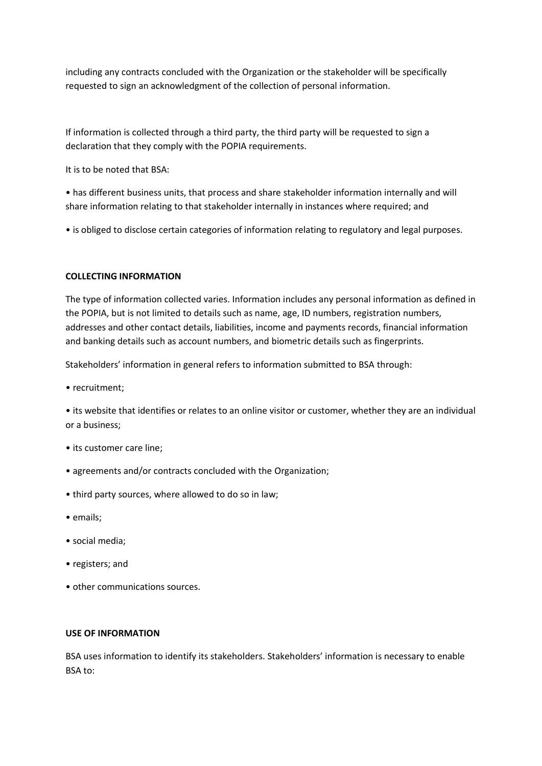including any contracts concluded with the Organization or the stakeholder will be specifically requested to sign an acknowledgment of the collection of personal information.

If information is collected through a third party, the third party will be requested to sign a declaration that they comply with the POPIA requirements.

It is to be noted that BSA:

• has different business units, that process and share stakeholder information internally and will share information relating to that stakeholder internally in instances where required; and

• is obliged to disclose certain categories of information relating to regulatory and legal purposes.

## **COLLECTING INFORMATION**

The type of information collected varies. Information includes any personal information as defined in the POPIA, but is not limited to details such as name, age, ID numbers, registration numbers, addresses and other contact details, liabilities, income and payments records, financial information and banking details such as account numbers, and biometric details such as fingerprints.

Stakeholders' information in general refers to information submitted to BSA through:

• recruitment;

• its website that identifies or relates to an online visitor or customer, whether they are an individual or a business;

- its customer care line;
- agreements and/or contracts concluded with the Organization;
- third party sources, where allowed to do so in law;
- emails;
- social media;
- registers; and
- other communications sources.

#### **USE OF INFORMATION**

BSA uses information to identify its stakeholders. Stakeholders' information is necessary to enable BSA to: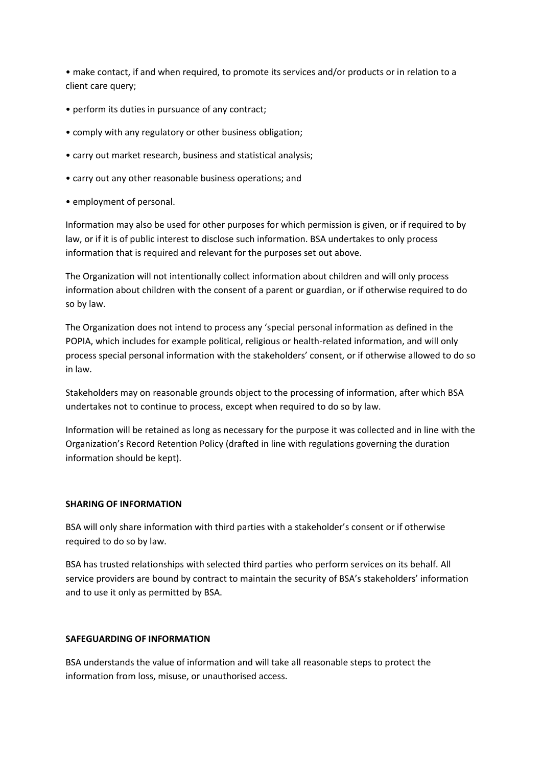• make contact, if and when required, to promote its services and/or products or in relation to a client care query;

- perform its duties in pursuance of any contract;
- comply with any regulatory or other business obligation;
- carry out market research, business and statistical analysis;
- carry out any other reasonable business operations; and
- employment of personal.

Information may also be used for other purposes for which permission is given, or if required to by law, or if it is of public interest to disclose such information. BSA undertakes to only process information that is required and relevant for the purposes set out above.

The Organization will not intentionally collect information about children and will only process information about children with the consent of a parent or guardian, or if otherwise required to do so by law.

The Organization does not intend to process any 'special personal information as defined in the POPIA, which includes for example political, religious or health-related information, and will only process special personal information with the stakeholders' consent, or if otherwise allowed to do so in law.

Stakeholders may on reasonable grounds object to the processing of information, after which BSA undertakes not to continue to process, except when required to do so by law.

Information will be retained as long as necessary for the purpose it was collected and in line with the Organization's Record Retention Policy (drafted in line with regulations governing the duration information should be kept).

## **SHARING OF INFORMATION**

BSA will only share information with third parties with a stakeholder's consent or if otherwise required to do so by law.

BSA has trusted relationships with selected third parties who perform services on its behalf. All service providers are bound by contract to maintain the security of BSA's stakeholders' information and to use it only as permitted by BSA.

## **SAFEGUARDING OF INFORMATION**

BSA understands the value of information and will take all reasonable steps to protect the information from loss, misuse, or unauthorised access.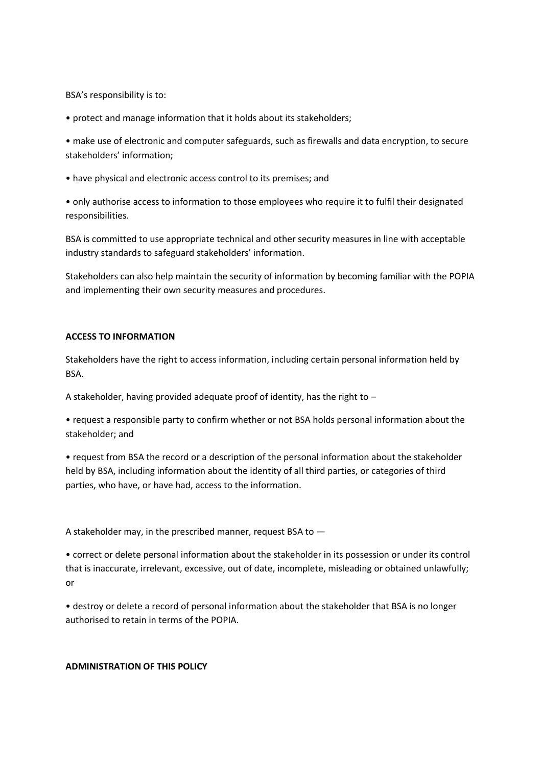BSA's responsibility is to:

• protect and manage information that it holds about its stakeholders;

• make use of electronic and computer safeguards, such as firewalls and data encryption, to secure stakeholders' information;

• have physical and electronic access control to its premises; and

• only authorise access to information to those employees who require it to fulfil their designated responsibilities.

BSA is committed to use appropriate technical and other security measures in line with acceptable industry standards to safeguard stakeholders' information.

Stakeholders can also help maintain the security of information by becoming familiar with the POPIA and implementing their own security measures and procedures.

# **ACCESS TO INFORMATION**

Stakeholders have the right to access information, including certain personal information held by BSA.

A stakeholder, having provided adequate proof of identity, has the right to –

• request a responsible party to confirm whether or not BSA holds personal information about the stakeholder; and

• request from BSA the record or a description of the personal information about the stakeholder held by BSA, including information about the identity of all third parties, or categories of third parties, who have, or have had, access to the information.

A stakeholder may, in the prescribed manner, request BSA to —

• correct or delete personal information about the stakeholder in its possession or under its control that is inaccurate, irrelevant, excessive, out of date, incomplete, misleading or obtained unlawfully; or

• destroy or delete a record of personal information about the stakeholder that BSA is no longer authorised to retain in terms of the POPIA.

# **ADMINISTRATION OF THIS POLICY**